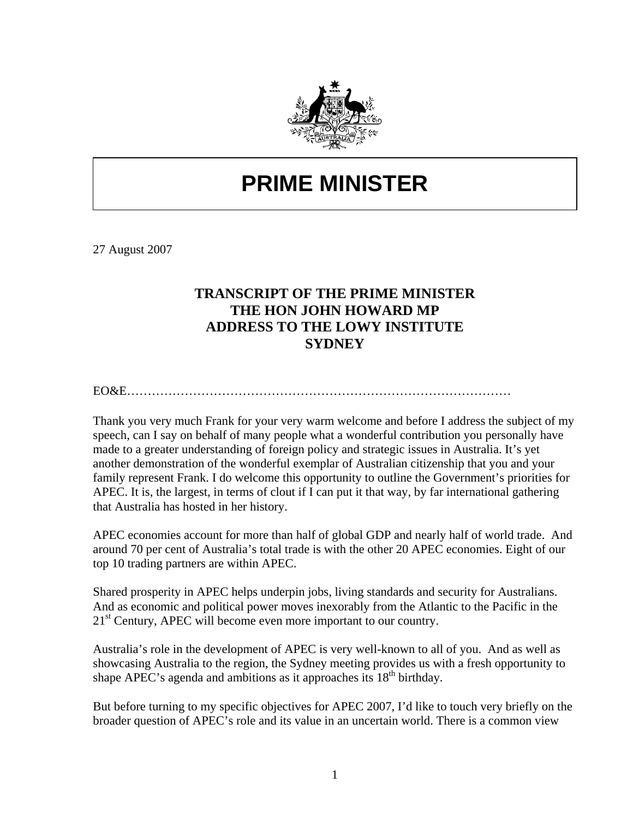

## **PRIME MINISTER**

27 August 2007

## **TRANSCRIPT OF THE PRIME MINISTER THE HON JOHN HOWARD MP ADDRESS TO THE LOWY INSTITUTE SYDNEY**

EO&E…………………………………………………………………………………

Thank you very much Frank for your very warm welcome and before I address the subject of my speech, can I say on behalf of many people what a wonderful contribution you personally have made to a greater understanding of foreign policy and strategic issues in Australia. It's yet another demonstration of the wonderful exemplar of Australian citizenship that you and your family represent Frank. I do welcome this opportunity to outline the Government's priorities for APEC. It is, the largest, in terms of clout if I can put it that way, by far international gathering that Australia has hosted in her history.

APEC economies account for more than half of global GDP and nearly half of world trade. And around 70 per cent of Australia's total trade is with the other 20 APEC economies. Eight of our top 10 trading partners are within APEC.

Shared prosperity in APEC helps underpin jobs, living standards and security for Australians. And as economic and political power moves inexorably from the Atlantic to the Pacific in the 21<sup>st</sup> Century, APEC will become even more important to our country.

Australia's role in the development of APEC is very well-known to all of you. And as well as showcasing Australia to the region, the Sydney meeting provides us with a fresh opportunity to shape APEC's agenda and ambitions as it approaches its  $18<sup>th</sup>$  birthday.

But before turning to my specific objectives for APEC 2007, I'd like to touch very briefly on the broader question of APEC's role and its value in an uncertain world. There is a common view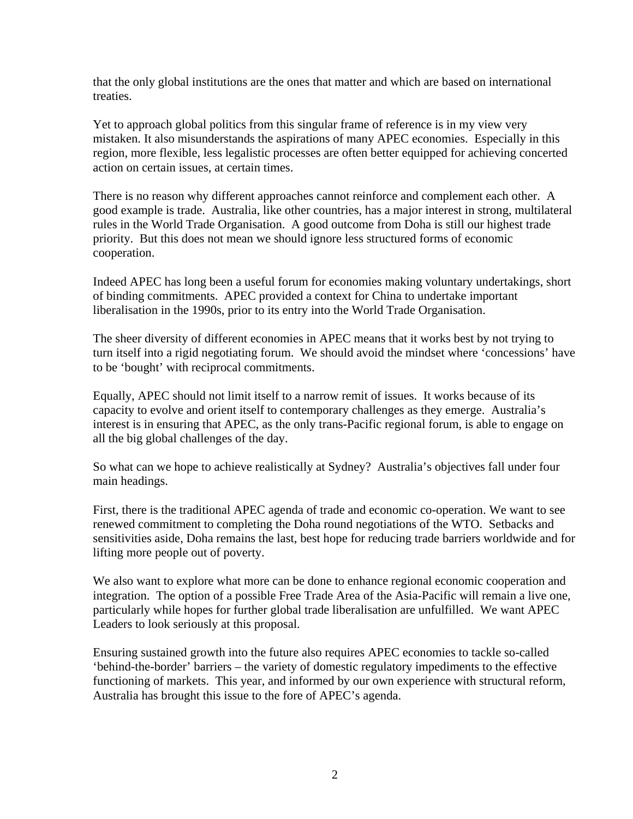that the only global institutions are the ones that matter and which are based on international treaties.

Yet to approach global politics from this singular frame of reference is in my view very mistaken. It also misunderstands the aspirations of many APEC economies. Especially in this region, more flexible, less legalistic processes are often better equipped for achieving concerted action on certain issues, at certain times.

There is no reason why different approaches cannot reinforce and complement each other. A good example is trade. Australia, like other countries, has a major interest in strong, multilateral rules in the World Trade Organisation. A good outcome from Doha is still our highest trade priority. But this does not mean we should ignore less structured forms of economic cooperation.

Indeed APEC has long been a useful forum for economies making voluntary undertakings, short of binding commitments. APEC provided a context for China to undertake important liberalisation in the 1990s, prior to its entry into the World Trade Organisation.

The sheer diversity of different economies in APEC means that it works best by not trying to turn itself into a rigid negotiating forum. We should avoid the mindset where 'concessions' have to be 'bought' with reciprocal commitments.

Equally, APEC should not limit itself to a narrow remit of issues. It works because of its capacity to evolve and orient itself to contemporary challenges as they emerge. Australia's interest is in ensuring that APEC, as the only trans-Pacific regional forum, is able to engage on all the big global challenges of the day.

So what can we hope to achieve realistically at Sydney? Australia's objectives fall under four main headings.

First, there is the traditional APEC agenda of trade and economic co-operation. We want to see renewed commitment to completing the Doha round negotiations of the WTO. Setbacks and sensitivities aside, Doha remains the last, best hope for reducing trade barriers worldwide and for lifting more people out of poverty.

We also want to explore what more can be done to enhance regional economic cooperation and integration. The option of a possible Free Trade Area of the Asia-Pacific will remain a live one, particularly while hopes for further global trade liberalisation are unfulfilled. We want APEC Leaders to look seriously at this proposal.

Ensuring sustained growth into the future also requires APEC economies to tackle so-called 'behind-the-border' barriers – the variety of domestic regulatory impediments to the effective functioning of markets. This year, and informed by our own experience with structural reform, Australia has brought this issue to the fore of APEC's agenda.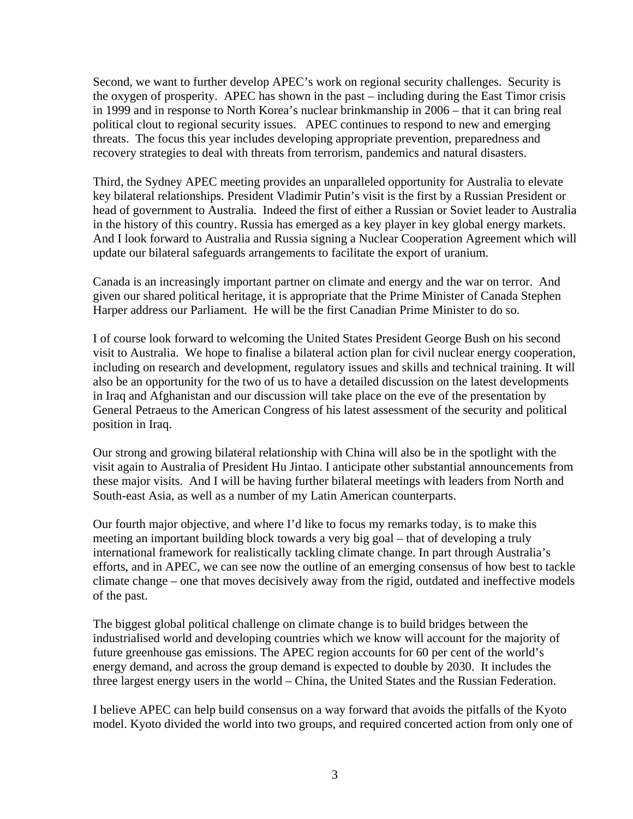Second, we want to further develop APEC's work on regional security challenges. Security is the oxygen of prosperity. APEC has shown in the past – including during the East Timor crisis in 1999 and in response to North Korea's nuclear brinkmanship in 2006 – that it can bring real political clout to regional security issues. APEC continues to respond to new and emerging threats. The focus this year includes developing appropriate prevention, preparedness and recovery strategies to deal with threats from terrorism, pandemics and natural disasters.

Third, the Sydney APEC meeting provides an unparalleled opportunity for Australia to elevate key bilateral relationships. President Vladimir Putin's visit is the first by a Russian President or head of government to Australia. Indeed the first of either a Russian or Soviet leader to Australia in the history of this country. Russia has emerged as a key player in key global energy markets. And I look forward to Australia and Russia signing a Nuclear Cooperation Agreement which will update our bilateral safeguards arrangements to facilitate the export of uranium.

Canada is an increasingly important partner on climate and energy and the war on terror. And given our shared political heritage, it is appropriate that the Prime Minister of Canada Stephen Harper address our Parliament. He will be the first Canadian Prime Minister to do so.

I of course look forward to welcoming the United States President George Bush on his second visit to Australia. We hope to finalise a bilateral action plan for civil nuclear energy cooperation, including on research and development, regulatory issues and skills and technical training. It will also be an opportunity for the two of us to have a detailed discussion on the latest developments in Iraq and Afghanistan and our discussion will take place on the eve of the presentation by General Petraeus to the American Congress of his latest assessment of the security and political position in Iraq.

Our strong and growing bilateral relationship with China will also be in the spotlight with the visit again to Australia of President Hu Jintao. I anticipate other substantial announcements from these major visits. And I will be having further bilateral meetings with leaders from North and South-east Asia, as well as a number of my Latin American counterparts.

Our fourth major objective, and where I'd like to focus my remarks today, is to make this meeting an important building block towards a very big goal – that of developing a truly international framework for realistically tackling climate change. In part through Australia's efforts, and in APEC, we can see now the outline of an emerging consensus of how best to tackle climate change – one that moves decisively away from the rigid, outdated and ineffective models of the past.

The biggest global political challenge on climate change is to build bridges between the industrialised world and developing countries which we know will account for the majority of future greenhouse gas emissions. The APEC region accounts for 60 per cent of the world's energy demand, and across the group demand is expected to double by 2030. It includes the three largest energy users in the world – China, the United States and the Russian Federation.

I believe APEC can help build consensus on a way forward that avoids the pitfalls of the Kyoto model. Kyoto divided the world into two groups, and required concerted action from only one of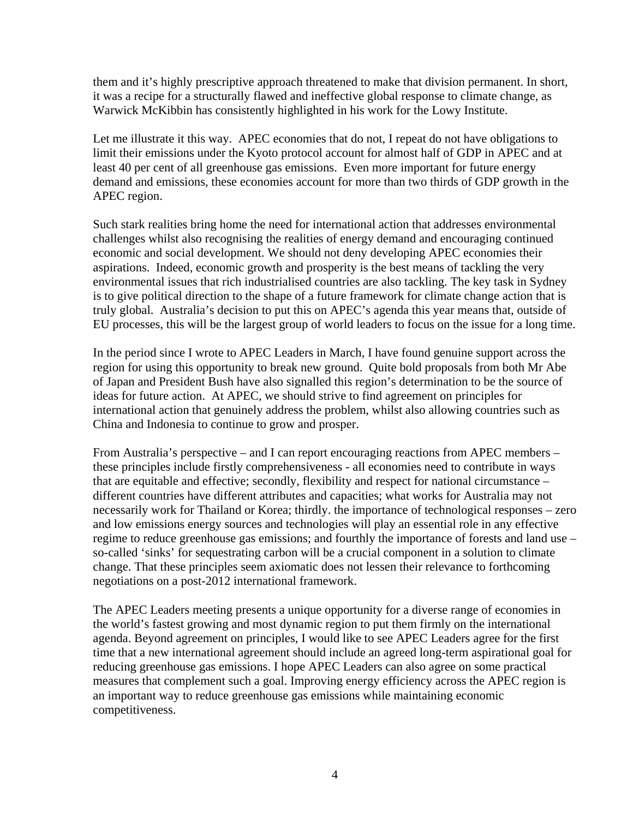them and it's highly prescriptive approach threatened to make that division permanent. In short, it was a recipe for a structurally flawed and ineffective global response to climate change, as Warwick McKibbin has consistently highlighted in his work for the Lowy Institute.

Let me illustrate it this way. APEC economies that do not, I repeat do not have obligations to limit their emissions under the Kyoto protocol account for almost half of GDP in APEC and at least 40 per cent of all greenhouse gas emissions. Even more important for future energy demand and emissions, these economies account for more than two thirds of GDP growth in the APEC region.

Such stark realities bring home the need for international action that addresses environmental challenges whilst also recognising the realities of energy demand and encouraging continued economic and social development. We should not deny developing APEC economies their aspirations. Indeed, economic growth and prosperity is the best means of tackling the very environmental issues that rich industrialised countries are also tackling. The key task in Sydney is to give political direction to the shape of a future framework for climate change action that is truly global. Australia's decision to put this on APEC's agenda this year means that, outside of EU processes, this will be the largest group of world leaders to focus on the issue for a long time.

In the period since I wrote to APEC Leaders in March, I have found genuine support across the region for using this opportunity to break new ground. Quite bold proposals from both Mr Abe of Japan and President Bush have also signalled this region's determination to be the source of ideas for future action. At APEC, we should strive to find agreement on principles for international action that genuinely address the problem, whilst also allowing countries such as China and Indonesia to continue to grow and prosper.

From Australia's perspective – and I can report encouraging reactions from APEC members – these principles include firstly comprehensiveness - all economies need to contribute in ways that are equitable and effective; secondly, flexibility and respect for national circumstance – different countries have different attributes and capacities; what works for Australia may not necessarily work for Thailand or Korea; thirdly. the importance of technological responses – zero and low emissions energy sources and technologies will play an essential role in any effective regime to reduce greenhouse gas emissions; and fourthly the importance of forests and land use – so-called 'sinks' for sequestrating carbon will be a crucial component in a solution to climate change. That these principles seem axiomatic does not lessen their relevance to forthcoming negotiations on a post-2012 international framework.

The APEC Leaders meeting presents a unique opportunity for a diverse range of economies in the world's fastest growing and most dynamic region to put them firmly on the international agenda. Beyond agreement on principles, I would like to see APEC Leaders agree for the first time that a new international agreement should include an agreed long-term aspirational goal for reducing greenhouse gas emissions. I hope APEC Leaders can also agree on some practical measures that complement such a goal. Improving energy efficiency across the APEC region is an important way to reduce greenhouse gas emissions while maintaining economic competitiveness.